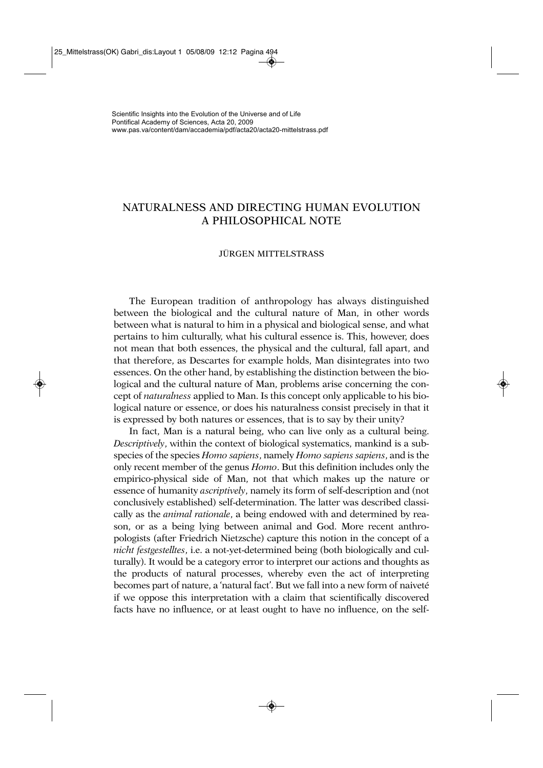# NATURALNESS AND DIRECTING HUMAN EVOLUTION A PHILOSOPHICAL NOTE

## JÜRGEN MITTELSTRASS

The European tradition of anthropology has always distinguished between the biological and the cultural nature of Man, in other words between what is natural to him in a physical and biological sense, and what pertains to him culturally, what his cultural essence is. This, however, does not mean that both essences, the physical and the cultural, fall apart, and that therefore, as Descartes for example holds, Man disintegrates into two essences. On the other hand, by establishing the distinction between the biological and the cultural nature of Man, problems arise concerning the concept of *naturalness* applied to Man. Is this concept only applicable to his biological nature or essence, or does his naturalness consist precisely in that it is expressed by both natures or essences, that is to say by their unity?

In fact, Man is a natural being, who can live only as a cultural being. *Descriptively*, within the context of biological systematics, mankind is a subspecies of the species *Homo sapiens*, namely *Homo sapiens sa piens*, and is the only recent member of the genus *Homo*. But this definition includes only the empirico-physical side of Man, not that which makes up the nature or essence of humanity *ascriptively*, namely its form of self-description and (not conclusively established) self-determination. The latter was described classically as the *animal rationale*, a being endowed with and determined by reason, or as a being lying between animal and God. More recent anthropologists (after Friedrich Nietzsche) capture this notion in the concept of a *nicht fest gestelltes*, i.e. a not-yet-determined being (both biologically and culturally). It would be a category error to interpret our actions and thoughts as the products of natural processes, whereby even the act of interpreting becomes part of nature, a 'natural fact'. But we fall into a new form of naiveté if we oppose this interpretation with a claim that scientifically discovered facts have no influence, or at least ought to have no influence, on the self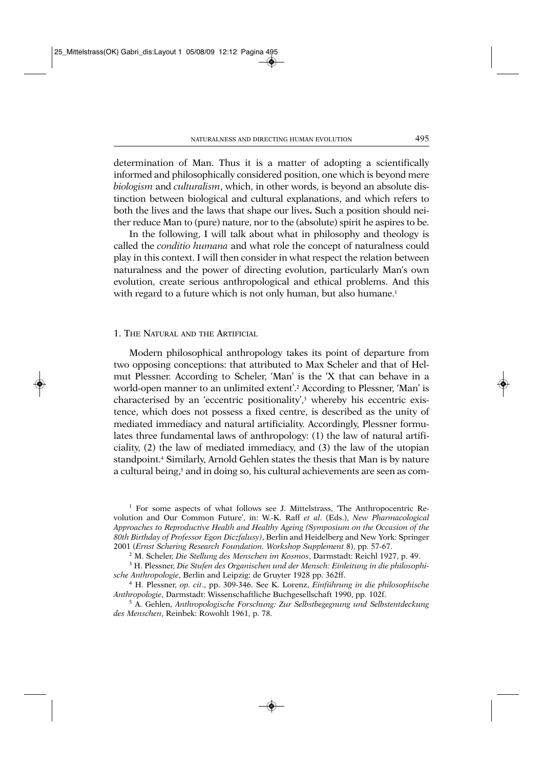determination of Man. Thus it is a matter of adopting a scientifically informed and philosophically considered position, one which is beyond mere *biologism* and *culturalism*, which, in other words, is beyond an absolute distinction between biological and cultural explanations, and which refers to both the lives and the laws that shape our lives**.** Such a position should neither reduce Man to (pure) nature, nor to the (absolute) spirit he aspires to be.

In the following, I will talk about what in philosophy and theology is called the *conditio humana* and what role the concept of naturalness could play in this context. I will then consider in what respect the relation between naturalness and the power of directing evolution, particularly Man's own evolution, create serious anthropological and ethical problems. And this with regard to a future which is not only human, but also humane.<sup>1</sup>

#### 1. THE NATURAL AND THE ARTIFICIAL

Modern philosophical anthropology takes its point of departure from two opposing conceptions: that attributed to Max Scheler and that of Helmut Plessner. According to Scheler, 'Man' is the 'X that can behave in a world-open manner to an unlimited extent'.<sup>2</sup> According to Plessner, 'Man' is characterised by an 'eccentric positionality',<sup>3</sup> whereby his eccentric existence, which does not possess a fixed centre, is described as the unity of mediated immediacy and natural artificiality. Accordingly, Plessner formulates three fundamental laws of anthropology: (1) the law of natural artificiality, (2) the law of mediated immediacy, and (3) the law of the utopian stand point.<sup>4</sup> Similarly, Arnold Gehlen states the thesis that Man is by nature a cultural being,<sup>5</sup> and in doing so, his cultural achievements are seen as com-

<sup>1</sup> For some aspects of what follows see J. Mittelstrass, 'The Anthropocentric Revolution and Our Common Future', in: W.-K. Raff *et al.* (Eds.), *New Pharmacological Approaches to Reproductive Health and Healthy Ageing (Symposium on the Occasion of the* 80th Birthday of Professor Egon Diczfalusy), Berlin and Heidelberg and New York: Springer 2001 (*Ernst Schering Research Foundation. Workshop Supplement* 8), pp. 57-67.

<sup>2</sup> M. Scheler, *Die Stellung des Menschen im Kosmos*, Darmstadt: Reichl 1927, p. 49.<br><sup>3</sup> H. Plessner, *Die Stufen des Organischen und der Mensch: Einleitung in die philosophi-*

*sche Anthropologie*, Berlin and Leipzig: de Gruyter 1928 pp. 362ff.

<sup>4</sup> H. Plessner, *op. cit.*, pp. 309-346. See K. Lorenz, *Einführung in die philosophische Anthropologie*, Darmstadt: Wissenschaftliche Buchgesellschaft 1990, pp. 102f.

<sup>5</sup> A. Gehlen, *Anthropologische Forschung: Zur Selbstbegegnung und Selbstentdeckung des Menschen*, Reinbek: Rowohlt 1961, p. 78.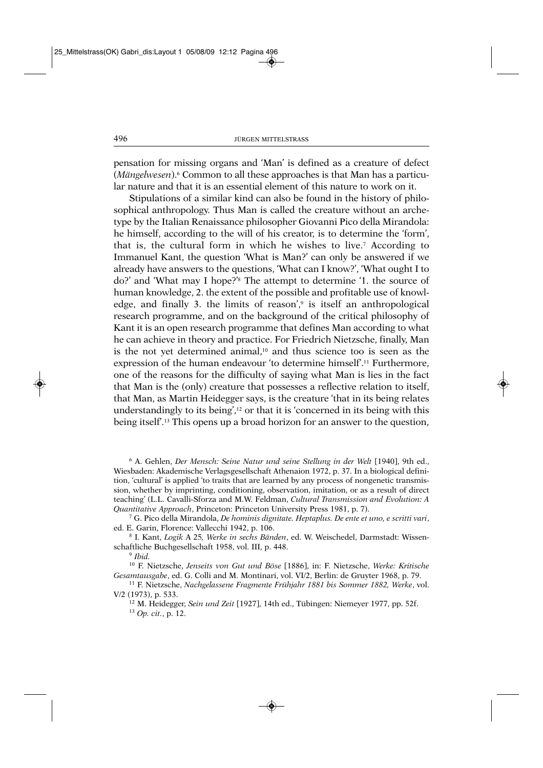pensation for missing organs and 'Man' is defined as a creature of defect (*Mängelwesen*).<sup>6</sup> Common to all these approaches is that Man has a particular nature and that it is an essential element of this nature to work on it.

Stipulations of a similar kind can also be found in the history of philosophical anthropology. Thus Man is called the creature without an archetype by the Italian Renais sance philosopher Giovanni Pico della Mirandola: he himself, according to the will of his creator, is to determine the 'form', that is, the cultural form in which he wishes to live.7 According to Immanuel Kant, the question 'What is Man?' can only be answered if we already have answers to the questions, 'What can I know?', 'What ought I to do?' and 'What may I hope?'8 The attempt to determine '1. the source of human knowledge, 2. the extent of the possible and profitable use of knowledge, and finally 3. the limits of reason', $9$  is itself an anthropological research programme, and on the background of the critical philosophy of Kant it is an open research programme that defines Man according to what he can achieve in theory and practice. For Friedrich Nietzsche, finally, Man is the not yet determined animal,<sup>10</sup> and thus science too is seen as the expression of the human endeavour 'to determine himself'.<sup>11</sup> Furthermore, one of the reasons for the difficulty of saying what Man is lies in the fact that Man is the (only) creature that possesses a reflective relation to itself, that Man, as Martin Heidegger says, is the creature 'that in its being relates understandingly to its being',<sup>12</sup> or that it is 'concerned in its being with this being itself'.13 This opens up a broad horizon for an answer to the question,

<sup>6</sup> A. Gehlen, *Der Mensch: Seine Natur und seine Stellung in der Welt* [1940], 9th ed., Wiesbaden: Akademische Verlagsgesellschaft Athenaion 1972, p. 37. In a biological definition, 'cultural' is applied 'to traits that are learned by any process of nongenetic transmission, whether by imprinting, conditioning, observation, imitation, or as a result of direct teaching' (L.L. Cavalli-Sforza and M.W. Feldman, *Cultural Transmission and Evolution: A Quantitative Approach*, Princeton: Princeton University Press 1981, p. 7).

<sup>7</sup> G. Pico della Mirandola, *De hominis dignitate. Heptaplus. De ente et uno, e scritti vari*, ed. E. Garin, Florence: Vallecchi 1942, p. 106.

<sup>8</sup> I. Kant, *Logik A 25, Werke in sechs Bänden*, ed. W. Weischedel, Darmstadt: Wissenschaftliche Buchgesellschaft 1958, vol. III, p. 448.

<sup>9</sup> *Ibid.*

<sup>10</sup> F. Nietzsche, Jenseits von Gut und Böse [1886], in: F. Nietzsche, Werke: Kritische *Gesamtausgabe*, ed. G. Colli and M. Montinari, vol. VI/2, Berlin: de Gruyter 1968, p. 79.

<sup>11</sup> F. Nietzsche, *Nachgelassene Fragmente Frühjahr 1881 bis Sommer 1882, Werke*, vol. V/2 (1973), p. 533.

<sup>12</sup> M. Heidegger, *Sein und Zeit* [1927], 14th ed., Tübingen: Niemeyer 1977, pp. 52f. <sup>13</sup> *Op. cit.*, p. 12.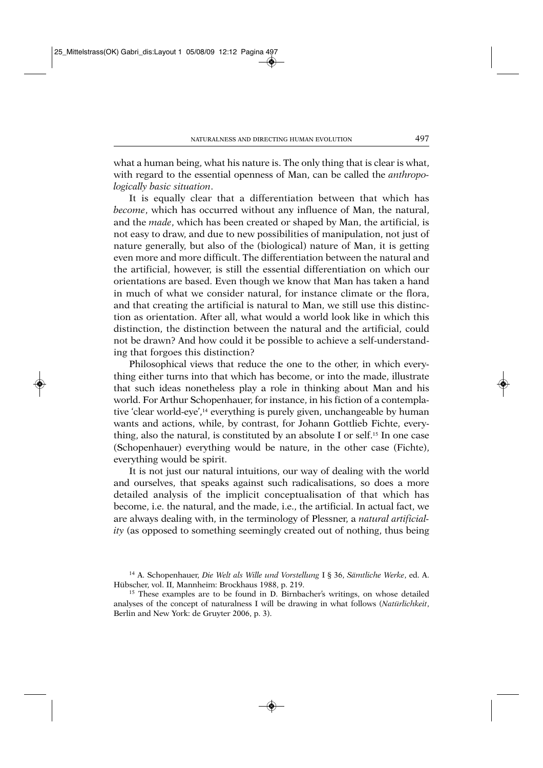what a human being, what his nature is. The only thing that is clear is what, with regard to the essential openness of Man, can be called the *anthropologically basic situation*.

It is equally clear that a differentiation between that which has *become*, which has occurred without any influence of Man, the natural, and the *made*, which has been created or shaped by Man, the artificial, is not easy to draw, and due to new possibilities of manipulation, not just of nature generally, but also of the (biological) nature of Man, it is getting even more and more difficult. The differentiation between the natural and the artificial, however, is still the essential differentiation on which our orientations are based. Even though we know that Man has taken a hand in much of what we consider natural, for instance climate or the flora, and that creating the artificial is natural to Man, we still use this distinction as orientation. After all, what would a world look like in which this distinction, the distinction between the natural and the artificial, could not be drawn? And how could it be possible to achieve a self-understanding that forgoes this distinction?

Philosophical views that reduce the one to the other, in which everything either turns into that which has become, or into the made, illustrate that such ideas nonetheless play a role in thinking about Man and his world. For Arthur Schopenhauer, for instance, in his fiction of a contemplative 'clear world-eye',<sup>14</sup> everything is purely given, unchangeable by human wants and actions, while, by contrast, for Johann Gottlieb Fichte, everything, also the natural, is constituted by an absolute I or self.15 In one case (Schopenhauer) everything would be nature, in the other case (Fichte), everything would be spirit.

It is not just our natural intuitions, our way of dealing with the world and ourselves, that speaks against such radicalisations, so does a more detailed analysis of the implicit conceptualisation of that which has become, i.e. the natural, and the made, i.e., the artificial. In actual fact, we are always dealing with, in the terminology of Plessner, a *natural artificiality* (as opposed to something seemingly created out of nothing, thus being

<sup>14</sup> A. Schopenhauer, *Die Welt als Wille und Vorstellung* I § 36, *Sämtliche Werke*, ed. A. Hübscher, vol. II, Mannheim: Brockhaus 1988, p. 219.

<sup>15</sup> These examples are to be found in D. Birnbacher's writings, on whose detailed analyses of the concept of naturalness I will be drawing in what follows (*Natürlichkeit*, Berlin and New York: de Gruyter 2006, p. 3).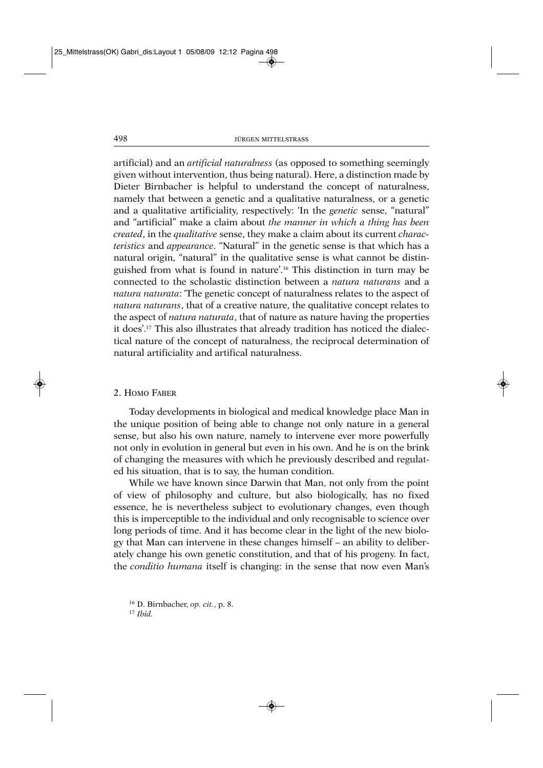artificial) and an *artificial naturalness* (as opposed to something seemingly given without intervention, thus being natural). Here, a distinction made by Dieter Birnbacher is helpful to understand the concept of naturalness, namely that between a genetic and a qualitative naturalness, or a genetic and a qualitative artificiality, respectively: 'In the *genetic* sense, "natural" and "artificial" make a claim about *the manner in which a thing has been created*, in the *qualitative* sense, they make a claim about its current *characteristics* and *appearance*. "Natural" in the genetic sense is that which has a natural origin, "natural" in the qualitative sense is what cannot be distinguished from what is found in nature'.16 This distinction in turn may be connected to the scholastic distinction between a *natura naturans* and a *natura naturata*: 'The genetic concept of naturalness relates to the aspect of *natura naturans*, that of a creative nature, the qualitative concept relates to the aspect of *natura naturata*, that of nature as nature having the properties it does'.17 This also illustrates that already tradition has noticed the dialectical nature of the concept of naturalness, the reciprocal determination of natural artificiality and artifical naturalness.

## 2. HOMO FABER

Today developments in biological and medical knowledge place Man in the unique position of being able to change not only nature in a general sense, but also his own nature, namely to intervene ever more powerfully not only in evolution in general but even in his own. And he is on the brink of changing the measures with which he previously described and regulated his situation, that is to say, the human condition.

While we have known since Darwin that Man, not only from the point of view of philosophy and culture, but also biologically, has no fixed essence, he is nevertheless subject to evolutionary changes, even though this is imperceptible to the individual and only recognisable to science over long periods of time. And it has become clear in the light of the new biology that Man can intervene in these changes himself – an ability to deliberately change his own genetic constitution, and that of his progeny. In fact, the *conditio humana* itself is changing: in the sense that now even Man's

<sup>16</sup> D. Birnbacher, *op. cit.*, p. 8. 17 *Ibid.*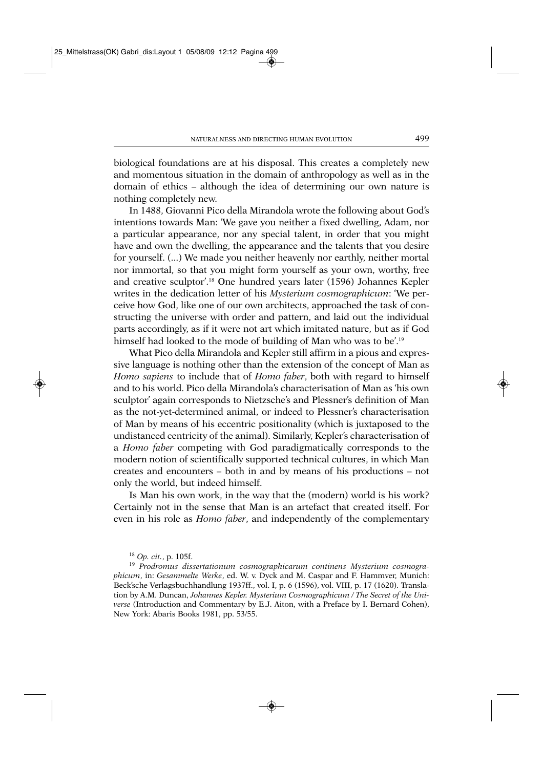biological foundations are at his disposal. This creates a completely new and momentous situation in the domain of anthropology as well as in the domain of ethics – although the idea of determining our own nature is nothing completely new.

In 1488, Giovanni Pico della Mirandola wrote the following about God's intentions towards Man: 'We gave you neither a fixed dwelling, Adam, nor a particular appearance, nor any special talent, in order that you might have and own the dwelling, the appearance and the talents that you desire for yourself. (...) We made you neither heavenly nor earthly, neither mortal nor immortal, so that you might form yourself as your own, worthy, free and creative sculptor'.18 One hundred years later (1596) Johannes Kepler writes in the dedication letter of his *Mysterium cosmographicum*: 'We perceive how God, like one of our own architects, approached the task of constructing the universe with order and pattern, and laid out the individual parts accordingly, as if it were not art which imitated nature, but as if God himself had looked to the mode of building of Man who was to be'.<sup>19</sup>

What Pico della Mirandola and Kepler still affirm in a pious and expressive language is nothing other than the extension of the concept of Man as *Homo sapiens* to include that of *Homo faber*, both with regard to himself and to his world. Pico della Mirandola's characterisation of Man as 'his own sculptor' again corresponds to Nietzsche's and Plessner's definition of Man as the not-yet-determined animal, or indeed to Plessner's characterisation of Man by means of his eccentric positionality (which is juxtaposed to the undistanced centricity of the animal). Similarly, Kepler's characterisation of a *Homo faber* competing with God paradigmatically corresponds to the modern notion of scientifically supported technical cultures, in which Man creates and encounters – both in and by means of his productions – not only the world, but indeed himself.

Is Man his own work, in the way that the (modern) world is his work? Certainly not in the sense that Man is an artefact that created itself. For even in his role as *Homo faber*, and independently of the complementary

<sup>18</sup> *Op. cit.*, p. 105f.

<sup>19</sup> *Prodromus dissertationum cosmographicarum continens Mysterium cosmogra phicum*, in: *Gesammelte Werke*, ed. W. v. Dyck and M. Caspar and F. Hammver, Munich: Beck'sche Verlagsbuchhandlung 1937ff., vol. I, p. 6 (1596), vol. VIII, p. 17 (1620). Translation by A.M. Duncan, *Johannes Kepler. Mysterium Cosmographicum / The Secret of the Universe* (Introduction and Commentary by E.J. Aiton, with a Preface by I. Bernard Cohen), New York: Abaris Books 1981, pp. 53/55.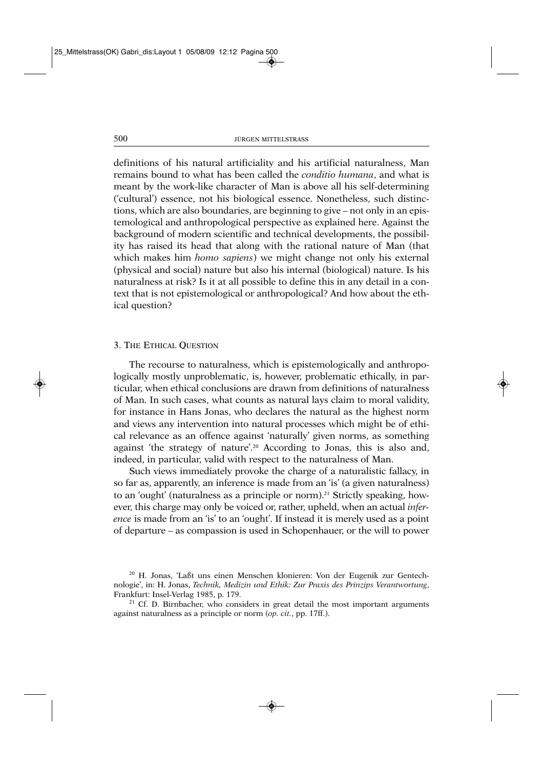definitions of his natural artificiality and his artificial naturalness, Man remains bound to what has been called the *con ditio humana*, and what is meant by the work-like character of Man is above all his self-determining ('cultural') essence, not his biological essence. Nonetheless, such distinctions, which are also boundaries, are beginning to give – not only in an episte mological and anthropological perspective as explained here. Against the back ground of modern scientific and technical developments, the possibility has raised its head that along with the rational nature of Man (that which makes him *homo sapiens*) we might change not only his external (physical and social) nature but also his internal (biological) nature. Is his naturalness at risk? Is it at all possible to define this in any detail in a context that is not epistemological or anthropological? And how about the ethical question?

# 3. THE ETHICAL QUESTION

The recourse to naturalness, which is epistemologically and anthropologically mostly unproblematic, is, however, problematic ethically, in particular, when ethical conclusions are drawn from definitions of naturalness of Man. In such cases, what counts as natural lays claim to moral validity, for instance in Hans Jonas, who declares the natural as the highest norm and views any intervention into natural processes which might be of ethical relevance as an offence against 'naturally' given norms, as something against 'the strategy of nature'.20 According to Jonas, this is also and, indeed, in particular, valid with respect to the naturalness of Man.

Such views immediately provoke the charge of a naturalistic fallacy, in so far as, apparently, an inference is made from an 'is' (a given naturalness) to an 'ought' (naturalness as a principle or norm).<sup>21</sup> Strictly speaking, however, this charge may only be voiced or, rather, upheld, when an actual *inference* is made from an 'is' to an 'ought'. If instead it is merely used as a point of departure – as compassion is used in Schopenhauer, or the will to power

<sup>&</sup>lt;sup>20</sup> H. Jonas, 'Laßt uns einen Menschen klonieren: Von der Eugenik zur Gentechnologie', in: H. Jonas, *Technik, Medizin und Ethik: Zur Praxis des Prinzips Verantwortung*, Frankfurt: Insel-Verlag 1985, p. 179.

<sup>&</sup>lt;sup>21</sup> Cf. D. Birnbacher, who considers in great detail the most important arguments against naturalness as a principle or norm (*op. cit.*, pp. 17ff.).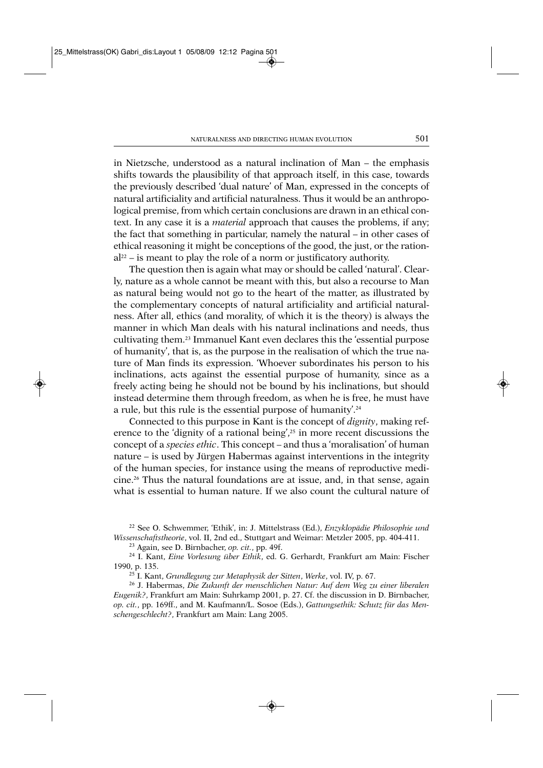in Nietzsche, understood as a natural inclination of Man – the emphasis shifts towards the plausibility of that approach itself, in this case, towards the previously described 'dual nature' of Man, expressed in the concepts of natural artificiality and artificial naturalness. Thus it would be an anthropological premise, from which certain conclusions are drawn in an ethical context. In any case it is a *material* approach that causes the problems, if any; the fact that something in particular, namely the natural – in other cases of ethical reasoning it might be conceptions of the good, the just, or the ration $a^{22}$  – is meant to play the role of a norm or justificatory authority.

The question then is again what may or should be called 'natural'. Clearly, nature as a whole cannot be meant with this, but also a recourse to Man as natural being would not go to the heart of the matter, as illustrated by the complementary concepts of natural artificiality and artificial naturalness. After all, ethics (and morality, of which it is the theory) is always the manner in which Man deals with his natural inclinations and needs, thus cultivating them.23 Immanuel Kant even declares this the 'essential purpose of humanity', that is, as the purpose in the realisation of which the true na ture of Man finds its expression. 'Whoever subordinates his person to his inclinations, acts against the essential purpose of humanity, since as a freely acting being he should not be bound by his inclinations, but should instead determine them through freedom, as when he is free, he must have a rule, but this rule is the essential purpose of humanity'.<sup>24</sup>

Connected to this purpose in Kant is the concept of *dignity*, making reference to the 'dignity of a rational being',<sup>25</sup> in more recent discussions the concept of a *species ethic*. This concept – and thus a 'moralisation' of human nature – is used by Jürgen Habermas against interventions in the integrity of the human species, for instance using the means of reproductive medicine.26 Thus the natural foundations are at issue, and, in that sense, again what is essential to human nature. If we also count the cultural nature of

<sup>22</sup> See O. Schwemmer, 'Ethik', in: J. Mittelstrass (Ed.), *Enzyklopädie Philosophie und Wissenschaftstheorie*, vol. II, 2nd ed., Stuttgart and Weimar: Metzler 2005, pp. 404-411.

<sup>23</sup> Again, see D. Birnbacher, *op. cit.*, pp. 49f.

<sup>24</sup> I. Kant, *Eine Vorlesung über Ethik*, ed. G. Gerhardt, Frankfurt am Main: Fischer 1990, p. 135.

<sup>25</sup> I. Kant, *Grundlegung zur Metaphysik der Sitten*, *Werke*, vol. IV, p. 67.

<sup>26</sup> J. Habermas, *Die Zukunft der menschlichen Natur: Auf dem Weg zu einer liberalen Eugenik?*, Frankfurt am Main: Suhrkamp 2001, p. 27. Cf. the discussion in D. Birnbacher, *op. cit.*, pp. 169ff., and M. Kaufmann/L. Sosoe (Eds.), *Gattungsethik: Schutz für das Menschengeschlecht?*, Frankfurt am Main: Lang 2005.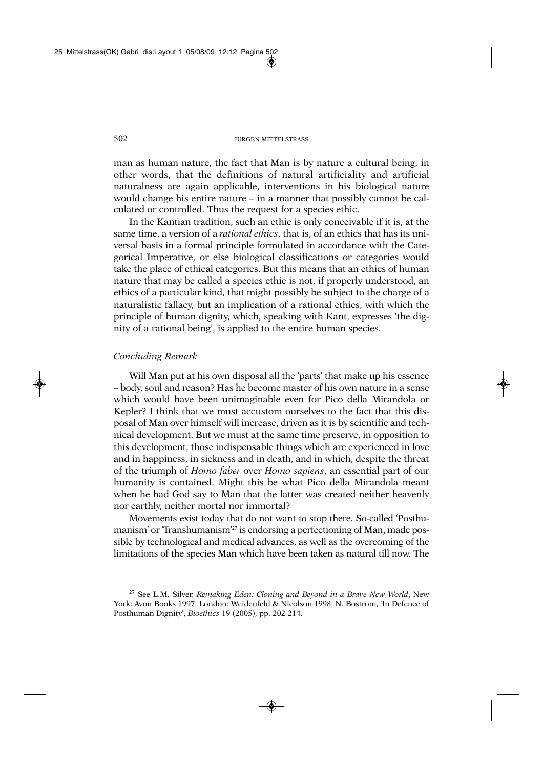man as human nature, the fact that Man is by nature a cultural being, in other words, that the definitions of natural artificiality and artificial naturalness are again applicable, interventions in his biological nature would change his entire nature – in a manner that possibly cannot be calculated or controlled. Thus the request for a species ethic.

In the Kantian tradition, such an ethic is only conceivable if it is, at the same time, a version of a *rational ethics*, that is, of an ethics that has its universal basis in a formal principle formulated in accordance with the Categorical Imperative, or else biological classifications or categories would take the place of ethical categories. But this means that an ethics of human nature that may be called a species ethic is not, if properly understood, an ethics of a particular kind, that might possibly be subject to the charge of a naturalistic fallacy, but an implication of a rational ethics, with which the principle of human dignity, which, speaking with Kant, expresses 'the dignity of a rational being', is applied to the entire human species.

#### *Concluding Remark*

Will Man put at his own disposal all the 'parts' that make up his essence – body, soul and reason? Has he become master of his own nature in a sense which would have been unimaginable even for Pico della Mirandola or Kepler? I think that we must accustom ourselves to the fact that this disposal of Man over himself will increase, driven as it is by scientific and technical development. But we must at the same time preserve, in opposition to this development, those indispensable things which are experienced in love and in happiness, in sickness and in death, and in which, despite the threat of the triumph of *Homo faber* over *Homo sapiens*, an essential part of our humanity is contained. Might this be what Pico della Mirandola meant when he had God say to Man that the latter was created neither heavenly nor earthly, neither mortal nor immortal?

Movements exist today that do not want to stop there. So-called 'Posthumanism' or 'Transhumanism'<sup>27</sup> is endorsing a perfectioning of Man, made possible by technological and medical advances, as well as the overcoming of the limitations of the species Man which have been taken as natural till now. The

<sup>27</sup> See L.M. Silver, *Remaking Eden: Cloning and Beyond in a Brave New World*, New York: Avon Books 1997, London: Weidenfeld & Nicolson 1998; N. Bostrom, 'In Defence of Posthuman Dignity', *Bioethics* 19 (2005), pp. 202-214.